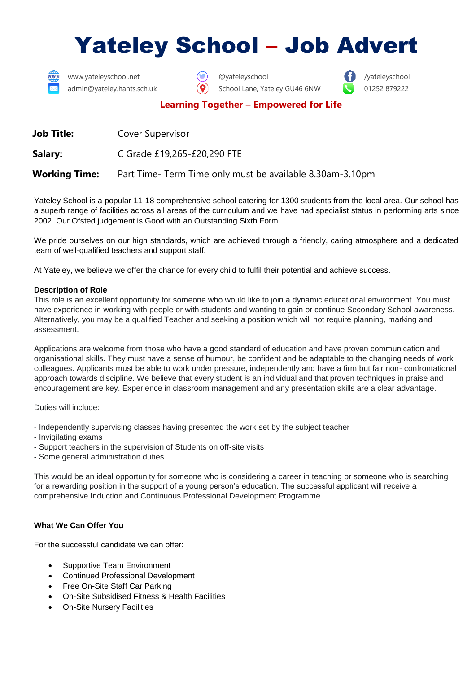# Yateley School – Job Advert



www.yateleyschool.net **and Constructed Construction**  $\bullet$  **and Construction** *eyateleyschool /yateleyschool* 

admin@yateley.hants.sch.uk  $\bigcirc$  School Lane, Yateley GU46 6NW  $\bigcirc$  01252 879222

# **Learning Together – Empowered for Life**

**Job Title:** Cover Supervisor

**Salary:** C Grade £19,265-£20,290 FTE

**Working Time:** Part Time- Term Time only must be available 8.30am-3.10pm

Yateley School is a popular 11-18 comprehensive school catering for 1300 students from the local area. Our school has a superb range of facilities across all areas of the curriculum and we have had specialist status in performing arts since 2002. Our Ofsted judgement is Good with an Outstanding Sixth Form.

We pride ourselves on our high standards, which are achieved through a friendly, caring atmosphere and a dedicated team of well-qualified teachers and support staff.

At Yateley, we believe we offer the chance for every child to fulfil their potential and achieve success.

#### **Description of Role**

This role is an excellent opportunity for someone who would like to join a dynamic educational environment. You must have experience in working with people or with students and wanting to gain or continue Secondary School awareness. Alternatively, you may be a qualified Teacher and seeking a position which will not require planning, marking and assessment.

Applications are welcome from those who have a good standard of education and have proven communication and organisational skills. They must have a sense of humour, be confident and be adaptable to the changing needs of work colleagues. Applicants must be able to work under pressure, independently and have a firm but fair non- confrontational approach towards discipline. We believe that every student is an individual and that proven techniques in praise and encouragement are key. Experience in classroom management and any presentation skills are a clear advantage.

Duties will include:

- Independently supervising classes having presented the work set by the subject teacher
- Invigilating exams
- Support teachers in the supervision of Students on off-site visits
- Some general administration duties

This would be an ideal opportunity for someone who is considering a career in teaching or someone who is searching for a rewarding position in the support of a young person's education. The successful applicant will receive a comprehensive Induction and Continuous Professional Development Programme.

### **What We Can Offer You**

For the successful candidate we can offer:

- Supportive Team Environment
- Continued Professional Development
- Free On-Site Staff Car Parking
- On-Site Subsidised Fitness & Health Facilities
- On-Site Nursery Facilities